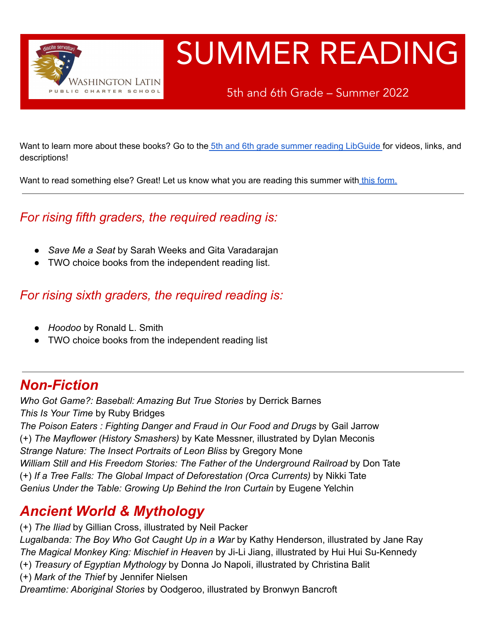

# SUMMER READING

5th and 6th Grade – Summer 2022

Want to learn more about these books? Go to the 5th and 6th grade summer reading [LibGuide](https://latinpcs.libguides.com/2022summer56) for videos, links, and descriptions!

Want to read something else? Great! Let us know what you are reading this summer with this [form.](https://forms.gle/wVs33M9yexwsL3Ud6)

#### *For rising fifth graders, the required reading is:*

- **●** *Save Me a Seat* by Sarah Weeks and Gita Varadarajan
- **●** TWO choice books from the independent reading list.

*For rising sixth graders, the required reading is:*

- **●** *Hoodoo* by Ronald L. Smith
- **●** TWO choice books from the independent reading list

#### *Non-Fiction*

*Who Got Game?: Baseball: Amazing But True Stories* by Derrick Barnes *This Is Your Time* by Ruby Bridges

*The Poison Eaters : Fighting Danger and Fraud in Our Food and Drugs* by Gail Jarrow (+) *The Mayflower (History Smashers)* by Kate Messner, illustrated by Dylan Meconis *Strange Nature: The Insect Portraits of Leon Bliss* by Gregory Mone *William Still and His Freedom Stories: The Father of the Underground Railroad* by Don Tate (+) *If a Tree Falls: The Global Impact of Deforestation (Orca Currents)* by Nikki Tate *Genius Under the Table: Growing Up Behind the Iron Curtain* by Eugene Yelchin

#### *Ancient World & Mythology*

(+) *The Iliad* by Gillian Cross, illustrated by Neil Packer

*Lugalbanda: The Boy Who Got Caught Up in a War* by Kathy Henderson, illustrated by Jane Ray *The Magical Monkey King: Mischief in Heaven* by Ji-Li Jiang, illustrated by Hui Hui Su-Kennedy

- (+) *Treasury of Egyptian Mythology* by Donna Jo Napoli, illustrated by Christina Balit
- (+) *Mark of the Thief* by Jennifer Nielsen

*Dreamtime: Aboriginal Stories* by Oodgeroo, illustrated by Bronwyn Bancroft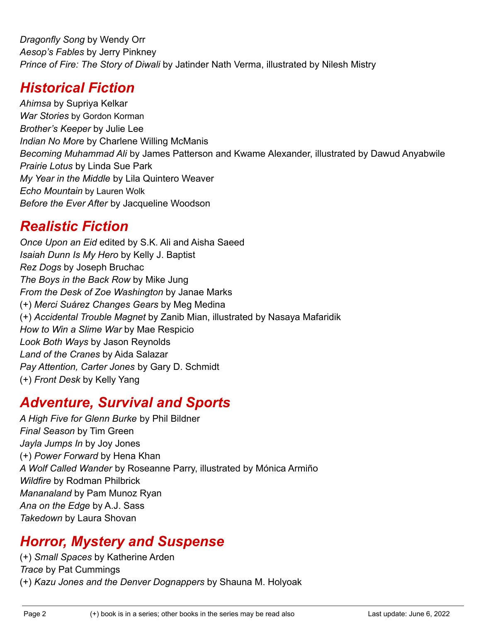*Dragonfly Song* by Wendy Orr *Aesop's Fables* by Jerry Pinkney *Prince of Fire: The Story of Diwali* by Jatinder Nath Verma, illustrated by Nilesh Mistry

#### *Historical Fiction*

*Ahimsa* by Supriya Kelkar *War Stories* by Gordon Korman *Brother's Keeper* by Julie Lee *Indian No More* by Charlene Willing McManis *Becoming Muhammad Ali* by James Patterson and Kwame Alexander, illustrated by Dawud Anyabwile *Prairie Lotus* by Linda Sue Park *My Year in the Middle* by Lila Quintero Weaver *Echo Mountain* by Lauren Wolk *Before the Ever After* by Jacqueline Woodson

#### *Realistic Fiction*

*Once Upon an Eid* edited by S.K. Ali and Aisha Saeed *Isaiah Dunn Is My Hero* by Kelly J. Baptist *Rez Dogs* by Joseph Bruchac *The Boys in the Back Row* by Mike Jung *From the Desk of Zoe Washington* by Janae Marks (+) *Merci Suárez Changes Gears* by Meg Medina (+) *Accidental Trouble Magnet* by Zanib Mian, illustrated by Nasaya Mafaridik *How to Win a Slime War* by Mae Respicio *Look Both Ways* by Jason Reynolds *Land of the Cranes* by Aida Salazar *Pay Attention, Carter Jones* by Gary D. Schmidt (+) *Front Desk* by Kelly Yang

#### *Adventure, Survival and Sports*

*A High Five for Glenn Burke* by Phil Bildner *Final Season* by Tim Green *Jayla Jumps In* by Joy Jones (+) *Power Forward* by Hena Khan *A Wolf Called Wander* by Roseanne Parry, illustrated by Mónica Armiño *Wildfire* by Rodman Philbrick *Mananaland* by Pam Munoz Ryan *Ana on the Edge* by A.J. Sass *Takedown* by Laura Shovan

# *Horror, Mystery and Suspense*

(+) *Small Spaces* by Katherine Arden *Trace* by Pat Cummings (+) *Kazu Jones and the Denver Dognappers* by Shauna M. Holyoak